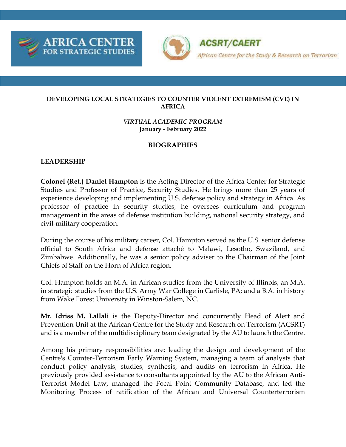



**ACSRT/CAERT** African Centre for the Study & Research on Terrorism

#### **DEVELOPING LOCAL STRATEGIES TO COUNTER VIOLENT EXTREMISM (CVE) IN AFRICA**

#### *VIRTUAL ACADEMIC PROGRAM* **January - February 2022**

### **BIOGRAPHIES**

# **LEADERSHIP**

**Colonel (Ret.) Daniel Hampton** is the Acting Director of the Africa Center for Strategic Studies and Professor of Practice, Security Studies. He brings more than 25 years of experience developing and implementing U.S. defense policy and strategy in Africa. As professor of practice in security studies, he oversees curriculum and program management in the areas of defense institution building, national security strategy, and civil-military cooperation.

During the course of his military career, Col. Hampton served as the U.S. senior defense official to South Africa and defense attaché to Malawi, Lesotho, Swaziland, and Zimbabwe. Additionally, he was a senior policy adviser to the Chairman of the Joint Chiefs of Staff on the Horn of Africa region.

Col. Hampton holds an M.A. in African studies from the University of Illinois; an M.A. in strategic studies from the U.S. Army War College in Carlisle, PA; and a B.A. in history from Wake Forest University in Winston-Salem, NC.

**Mr. Idriss M. Lallali** is the Deputy-Director and concurrently Head of Alert and Prevention Unit at the African Centre for the Study and Research on Terrorism (ACSRT) and is a member of the multidisciplinary team designated by the AU to launch the Centre.

Among his primary responsibilities are: leading the design and development of the Centre's Counter-Terrorism Early Warning System, managing a team of analysts that conduct policy analysis, studies, synthesis, and audits on terrorism in Africa. He previously provided assistance to consultants appointed by the AU to the African Anti-Terrorist Model Law, managed the Focal Point Community Database, and led the Monitoring Process of ratification of the African and Universal Counterterrorism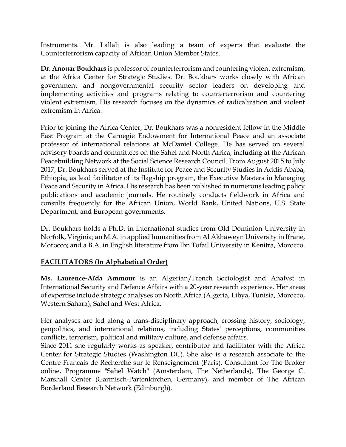Instruments. Mr. Lallali is also leading a team of experts that evaluate the Counterterrorism capacity of African Union Member States.

**Dr. Anouar Boukhars** is professor of counterterrorism and countering violent extremism, at the Africa Center for Strategic Studies. Dr. Boukhars works closely with African government and nongovernmental security sector leaders on developing and implementing activities and programs relating to counterterrorism and countering violent extremism. His research focuses on the dynamics of radicalization and violent extremism in Africa.

Prior to joining the Africa Center, Dr. Boukhars was a nonresident fellow in the Middle East Program at the Carnegie Endowment for International Peace and an associate professor of international relations at McDaniel College. He has served on several advisory boards and committees on the Sahel and North Africa, including at the African Peacebuilding Network at the Social Science Research Council. From August 2015 to July 2017, Dr. Boukhars served at the Institute for Peace and Security Studies in Addis Ababa, Ethiopia, as lead facilitator of its flagship program, the Executive Masters in Managing Peace and Security in Africa. His research has been published in numerous leading policy publications and academic journals. He routinely conducts fieldwork in Africa and consults frequently for the African Union, World Bank, United Nations, U.S. State Department, and European governments.

Dr. Boukhars holds a Ph.D. in international studies from Old Dominion University in Norfolk, Virginia; an M.A. in applied humanities from Al Akhaweyn University in Ifrane, Morocco; and a B.A. in English literature from Ibn Tofail University in Kenitra, Morocco.

# **FACILITATORS (In Alphabetical Order)**

**Ms. Laurence-Aïda Ammour** is an Algerian/French Sociologist and Analyst in International Security and Defence Affairs with a 20-year research experience. Her areas of expertise include strategic analyses on North Africa (Algeria, Libya, Tunisia, Morocco, Western Sahara), Sahel and West Africa.

Her analyses are led along a trans-disciplinary approach, crossing history, sociology, geopolitics, and international relations, including States' perceptions, communities conflicts, terrorism, political and military culture, and defense affairs.

Since 2011 she regularly works as speaker, contributor and facilitator with the Africa Center for Strategic Studies (Washington DC). She also is a research associate to the Centre Français de Recherche sur le Renseignement (Paris), Consultant for The Broker online, Programme "Sahel Watch" (Amsterdam, The Netherlands), The George C. Marshall Center (Garmisch-Partenkirchen, Germany), and member of The African Borderland Research Network (Edinburgh).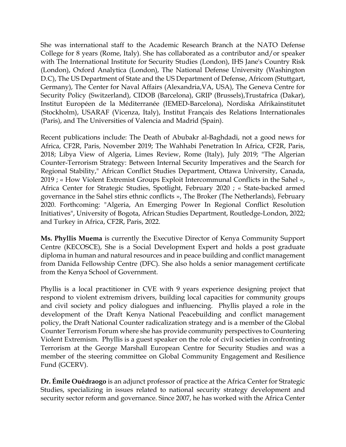She was international staff to the Academic Research Branch at the NATO Defense College for 8 years (Rome, Italy). She has collaborated as a contributor and/or speaker with The International Institute for Security Studies (London), IHS Jane's Country Risk (London), Oxford Analytica (London), The National Defense University (Washington D.C), The US Department of State and the US Department of Defense, Africom (Stuttgart, Germany), The Center for Naval Affairs (Alexandria,VA, USA), The Geneva Centre for Security Policy (Switzerland), CIDOB (Barcelona), GRIP (Brussels),Trustafrica (Dakar), Institut Européen de la Méditerranée (IEMED-Barcelona), Nordiska Afrikainstitutet (Stockholm), USARAF (Vicenza, Italy), Institut Français des Relations Internationales (Paris), and The Universities of Valencia and Madrid (Spain).

Recent publications include: The Death of Abubakr al-Baghdadi, not a good news for Africa, CF2R, Paris, November 2019; The Wahhabi Penetration In Africa, CF2R, Paris, 2018; Libya View of Algeria, Limes Review, Rome (Italy), July 2019; "The Algerian Counter-Terrorism Strategy: Between Internal Security Imperatives and the Search for Regional Stability," African Conflict Studies Department, Ottawa University, Canada, 2019 ; « How Violent Extremist Groups Exploit Intercommunal Conflicts in the Sahel », Africa Center for Strategic Studies, Spotlight, February 2020 ; « State-backed armed governance in the Sahel stirs ethnic conflicts », The Broker (The Netherlands), February 2020. Forthcoming: "Algeria, An Emerging Power In Regional Conflict Resolution Initiatives", University of Bogota, African Studies Department, Routledge-London, 2022; and Turkey in Africa, CF2R, Paris, 2022.

**Ms. Phyllis Muema** is currently the Executive Director of Kenya Community Support Centre (KECOSCE), She is a Social Development Expert and holds a post graduate diploma in human and natural resources and in peace building and conflict management from Danida Fellowship Centre (DFC). She also holds a senior management certificate from the Kenya School of Government.

Phyllis is a local practitioner in CVE with 9 years experience designing project that respond to violent extremism drivers, building local capacities for community groups and civil society and policy dialogues and influencing. Phyllis played a role in the development of the Draft Kenya National Peacebuilding and conflict management policy, the Draft National Counter radicalization strategy and is a member of the Global Counter Terrorism Forum where she has provide community perspectives to Countering Violent Extremism. Phyllis is a guest speaker on the role of civil societies in confronting Terrorism at the George Marshall European Centre for Security Studies and was a member of the steering committee on Global Community Engagement and Resilience Fund (GCERV).

**Dr. Émile Ouédraogo** is an adjunct professor of practice at the Africa Center for Strategic Studies, specializing in issues related to national security strategy development and security sector reform and governance. Since 2007, he has worked with the Africa Center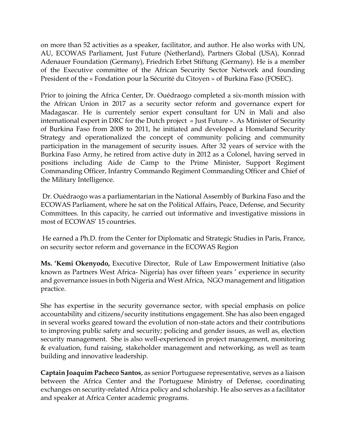on more than 52 activities as a speaker, facilitator, and author. He also works with UN, AU, ECOWAS Parliament, Just Future (Netherland), Partners Global (USA), Konrad Adenauer Foundation (Germany), Friedrich Erbet Stiftung (Germany). He is a member of the Executive committee of the African Security Sector Network and founding President of the « Fondation pour la Sécurité du Citoyen » of Burkina Faso (FOSEC).

Prior to joining the Africa Center, Dr. Ouédraogo completed a six-month mission with the African Union in 2017 as a security sector reform and governance expert for Madagascar. He is currentely senior expert consultant for UN in Mali and also international expert in DRC for the Dutch project « Just Future ». As Minister of Security of Burkina Faso from 2008 to 2011, he initiated and developed a Homeland Security Strategy and operationalized the concept of community policing and community participation in the management of security issues. After 32 years of service with the Burkina Faso Army, he retired from active duty in 2012 as a Colonel, having served in positions including Aide de Camp to the Prime Minister, Support Regiment Commanding Officer, Infantry Commando Regiment Commanding Officer and Chief of the Military Intelligence.

Dr. Ouédraogo was a parliamentarian in the National Assembly of Burkina Faso and the ECOWAS Parliament, where he sat on the Political Affairs, Peace, Defense, and Security Committees. In this capacity, he carried out informative and investigative missions in most of ECOWAS' 15 countries.

He earned a Ph.D. from the Center for Diplomatic and Strategic Studies in Paris, France, on security sector reform and governance in the ECOWAS Region

**Ms. 'Kemi Okenyodo,** Executive Director, Rule of Law Empowerment Initiative (also known as Partners West Africa- Nigeria) has over fifteen years ' experience in security and governance issues in both Nigeria and West Africa, NGO management and litigation practice.

She has expertise in the security governance sector, with special emphasis on police accountability and citizens/security institutions engagement. She has also been engaged in several works geared toward the evolution of non-state actors and their contributions to improving public safety and security; policing and gender issues, as well as, election security management. She is also well-experienced in project management, monitoring & evaluation, fund raising, stakeholder management and networking, as well as team building and innovative leadership.

**Captain Joaquim Pacheco Santos**, as senior Portuguese representative, serves as a liaison between the Africa Center and the Portuguese Ministry of Defense, coordinating exchanges on security-related Africa policy and scholarship. He also serves as a facilitator and speaker at Africa Center academic programs.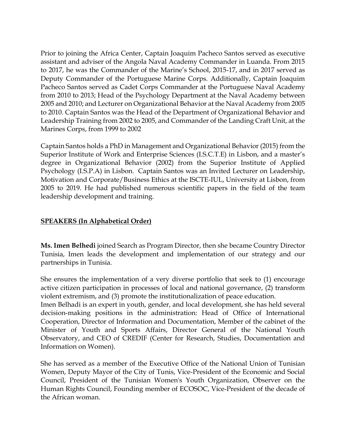Prior to joining the Africa Center, Captain Joaquim Pacheco Santos served as executive assistant and adviser of the Angola Naval Academy Commander in Luanda. From 2015 to 2017, he was the Commander of the Marine's School, 2015-17, and in 2017 served as Deputy Commander of the Portuguese Marine Corps. Additionally, Captain Joaquim Pacheco Santos served as Cadet Corps Commander at the Portuguese Naval Academy from 2010 to 2013; Head of the Psychology Department at the Naval Academy between 2005 and 2010; and Lecturer on Organizational Behavior at the Naval Academy from 2005 to 2010. Captain Santos was the Head of the Department of Organizational Behavior and Leadership Training from 2002 to 2005, and Commander of the Landing Craft Unit, at the Marines Corps, from 1999 to 2002

Captain Santos holds a PhD in Management and Organizational Behavior (2015) from the Superior Institute of Work and Enterprise Sciences (I.S.C.T.E) in Lisbon, and a master's degree in Organizational Behavior (2002) from the Superior Institute of Applied Psychology (I.S.P.A) in Lisbon. Captain Santos was an Invited Lecturer on Leadership, Motivation and Corporate/Business Ethics at the ISCTE-IUL, University at Lisbon, from 2005 to 2019. He had published numerous scientific papers in the field of the team leadership development and training.

#### **SPEAKERS (In Alphabetical Order)**

**Ms. Imen Belhedi** joined Search as Program Director, then she became Country Director Tunisia, Imen leads the development and implementation of our strategy and our partnerships in Tunisia.

She ensures the implementation of a very diverse portfolio that seek to (1) encourage active citizen participation in processes of local and national governance, (2) transform violent extremism, and (3) promote the institutionalization of peace education.

Imen Belhadi is an expert in youth, gender, and local development, she has held several decision-making positions in the administration: Head of Office of International Cooperation, Director of Information and Documentation, Member of the cabinet of the Minister of Youth and Sports Affairs, Director General of the National Youth Observatory, and CEO of CREDIF (Center for Research, Studies, Documentation and Information on Women).

She has served as a member of the Executive Office of the National Union of Tunisian Women, Deputy Mayor of the City of Tunis, Vice-President of the Economic and Social Council, President of the Tunisian Women's Youth Organization, Observer on the Human Rights Council, Founding member of ECOSOC, Vice-President of the decade of the African woman.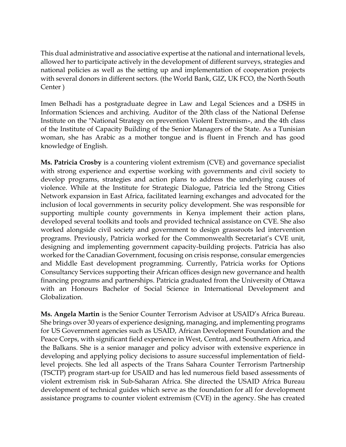This dual administrative and associative expertise at the national and international levels, allowed her to participate actively in the development of different surveys, strategies and national policies as well as the setting up and implementation of cooperation projects with several donors in different sectors. (the World Bank, GIZ, UK FCO, the North South Center )

Imen Belhadi has a postgraduate degree in Law and Legal Sciences and a DSHS in Information Sciences and archiving. Auditor of the 20th class of the National Defense Institute on the "National Strategy on prevention Violent Extremism», and the 4th class of the Institute of Capacity Building of the Senior Managers of the State. As a Tunisian woman, she has Arabic as a mother tongue and is fluent in French and has good knowledge of English.

**Ms. Patricia Crosby** is a countering violent extremism (CVE) and governance specialist with strong experience and expertise working with governments and civil society to develop programs, strategies and action plans to address the underlying causes of violence. While at the Institute for Strategic Dialogue, Patricia led the Strong Cities Network expansion in East Africa, facilitated learning exchanges and advocated for the inclusion of local governments in security policy development. She was responsible for supporting multiple county governments in Kenya implement their action plans, developed several toolkits and tools and provided technical assistance on CVE. She also worked alongside civil society and government to design grassroots led intervention programs. Previously, Patricia worked for the Commonwealth Secretariat's CVE unit, designing and implementing government capacity-building projects. Patricia has also worked for the Canadian Government, focusing on crisis response, consular emergencies and Middle East development programming. Currently, Patricia works for Options Consultancy Services supporting their African offices design new governance and health financing programs and partnerships. Patricia graduated from the University of Ottawa with an Honours Bachelor of Social Science in International Development and Globalization.

**Ms. Angela Martin** is the Senior Counter Terrorism Advisor at USAID's Africa Bureau. She brings over 30 years of experience designing, managing, and implementing programs for US Government agencies such as USAID, African Development Foundation and the Peace Corps, with significant field experience in West, Central, and Southern Africa, and the Balkans. She is a senior manager and policy advisor with extensive experience in developing and applying policy decisions to assure successful implementation of fieldlevel projects. She led all aspects of the Trans Sahara Counter Terrorism Partnership (TSCTP) program start-up for USAID and has led numerous field based assessments of violent extremism risk in Sub-Saharan Africa. She directed the USAID Africa Bureau development of technical guides which serve as the foundation for all for development assistance programs to counter violent extremism (CVE) in the agency. She has created